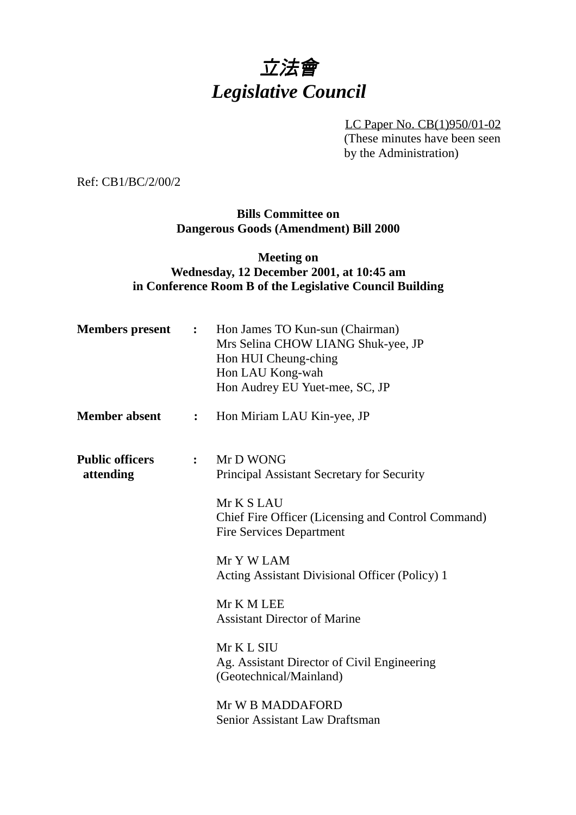# 立法會 *Legislative Council*

LC Paper No. CB(1)950/01-02 (These minutes have been seen by the Administration)

Ref: CB1/BC/2/00/2

**Bills Committee on Dangerous Goods (Amendment) Bill 2000**

### **Meeting on Wednesday, 12 December 2001, at 10:45 am in Conference Room B of the Legislative Council Building**

| <b>Members</b> present              | $\ddot{\bullet}$ | Hon James TO Kun-sun (Chairman)<br>Mrs Selina CHOW LIANG Shuk-yee, JP<br>Hon HUI Cheung-ching<br>Hon LAU Kong-wah<br>Hon Audrey EU Yuet-mee, SC, JP |
|-------------------------------------|------------------|-----------------------------------------------------------------------------------------------------------------------------------------------------|
| <b>Member absent</b>                | $\ddot{\cdot}$   | Hon Miriam LAU Kin-yee, JP                                                                                                                          |
| <b>Public officers</b><br>attending | $\ddot{\cdot}$   | Mr D WONG<br>Principal Assistant Secretary for Security<br>Mr K S LAU<br>Chief Fire Officer (Licensing and Control Command)                         |
|                                     |                  | <b>Fire Services Department</b><br>Mr Y W LAM<br>Acting Assistant Divisional Officer (Policy) 1                                                     |
|                                     |                  | Mr K M LEE<br><b>Assistant Director of Marine</b>                                                                                                   |
|                                     |                  | Mr K L SIU<br>Ag. Assistant Director of Civil Engineering<br>(Geotechnical/Mainland)                                                                |
|                                     |                  | Mr W B MADDAFORD<br>Senior Assistant Law Draftsman                                                                                                  |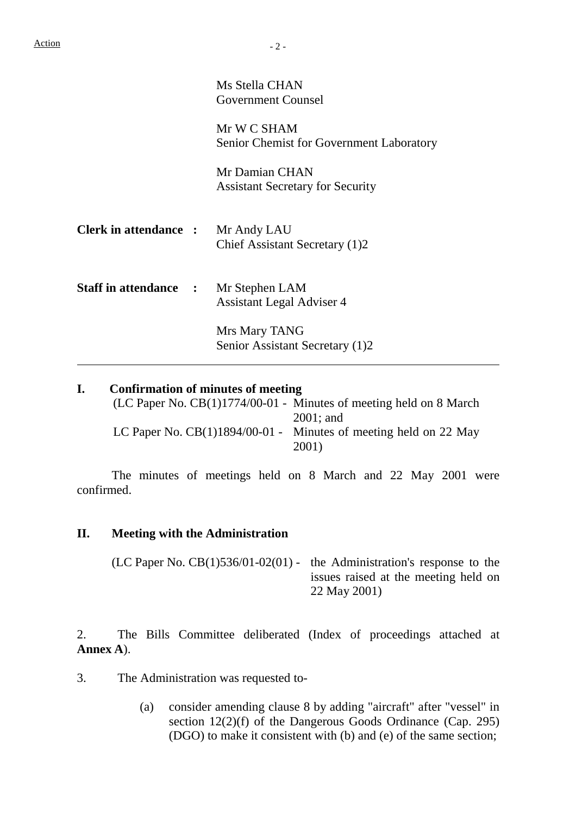$\overline{a}$ 

| Ms Stella CHAN            |
|---------------------------|
| <b>Government Counsel</b> |

Mr W C SHAM Senior Chemist for Government Laboratory

Mr Damian CHAN Assistant Secretary for Security

| <b>Clerk in attendance :</b> | Mr Andy LAU                    |
|------------------------------|--------------------------------|
|                              | Chief Assistant Secretary (1)2 |

**Staff in attendance :** Mr Stephen LAM Assistant Legal Adviser 4

> Mrs Mary TANG Senior Assistant Secretary (1)2

#### **I. Confirmation of minutes of meeting**

| $(LC$ Paper No. $CB(1)1774/00-01$ - Minutes of meeting held on 8 March |
|------------------------------------------------------------------------|
| $2001$ ; and                                                           |
| LC Paper No. $CB(1)1894/00-01$ - Minutes of meeting held on 22 May     |
| 2001)                                                                  |

The minutes of meetings held on 8 March and 22 May 2001 were confirmed.

#### **II. Meeting with the Administration**

(LC Paper No.  $CB(1)536/01-02(01)$  - the Administration's response to the issues raised at the meeting held on 22 May 2001)

2. The Bills Committee deliberated (Index of proceedings attached at **Annex A**).

3. The Administration was requested to-

(a) consider amending clause 8 by adding "aircraft" after "vessel" in section 12(2)(f) of the Dangerous Goods Ordinance (Cap. 295) (DGO) to make it consistent with (b) and (e) of the same section;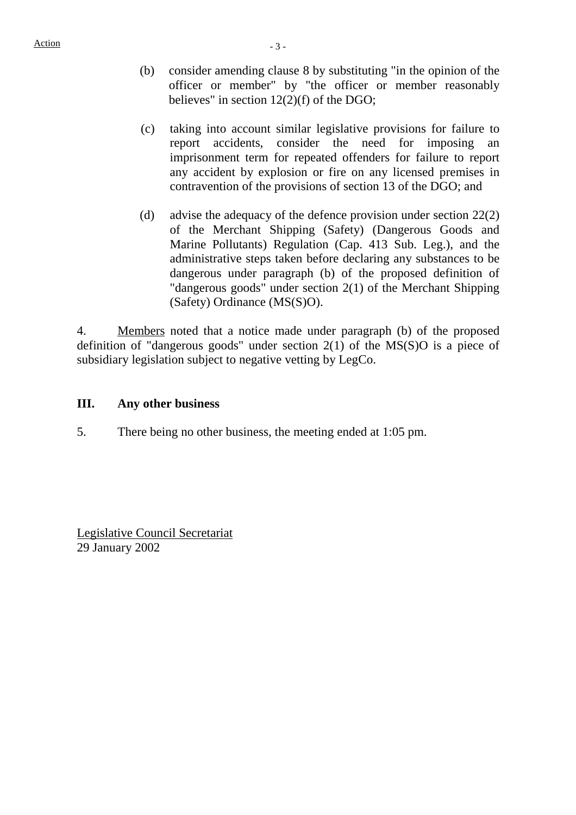- (b) consider amending clause 8 by substituting "in the opinion of the officer or member" by "the officer or member reasonably believes" in section 12(2)(f) of the DGO;
- (c) taking into account similar legislative provisions for failure to report accidents, consider the need for imposing an imprisonment term for repeated offenders for failure to report any accident by explosion or fire on any licensed premises in contravention of the provisions of section 13 of the DGO; and
- (d) advise the adequacy of the defence provision under section 22(2) of the Merchant Shipping (Safety) (Dangerous Goods and Marine Pollutants) Regulation (Cap. 413 Sub. Leg.), and the administrative steps taken before declaring any substances to be dangerous under paragraph (b) of the proposed definition of "dangerous goods" under section 2(1) of the Merchant Shipping (Safety) Ordinance (MS(S)O).

4. Members noted that a notice made under paragraph (b) of the proposed definition of "dangerous goods" under section 2(1) of the MS(S)O is a piece of subsidiary legislation subject to negative vetting by LegCo.

#### **III. Any other business**

5. There being no other business, the meeting ended at 1:05 pm.

Legislative Council Secretariat 29 January 2002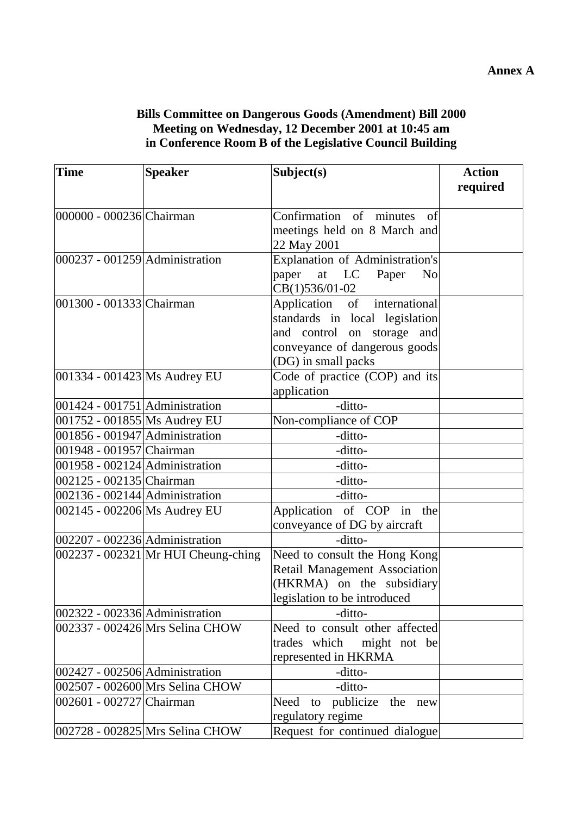## **Bills Committee on Dangerous Goods (Amendment) Bill 2000 Meeting on Wednesday, 12 December 2001 at 10:45 am in Conference Room B of the Legislative Council Building**

| <b>Time</b>                        | <b>Speaker</b>                      | Subject(s)                                                                                                                                           | <b>Action</b><br>required |
|------------------------------------|-------------------------------------|------------------------------------------------------------------------------------------------------------------------------------------------------|---------------------------|
| 000000 - 000236 Chairman           |                                     | Confirmation of minutes<br>of<br>meetings held on 8 March and<br>22 May 2001                                                                         |                           |
| $ 000237 - 001259 $ Administration |                                     | Explanation of Administration's<br>paper at LC Paper<br>N <sub>o</sub><br>CB(1)536/01-02                                                             |                           |
| 001300 - 001333 Chairman           |                                     | Application of international<br>standards in local legislation<br>and control on storage and<br>conveyance of dangerous goods<br>(DG) in small packs |                           |
| 001334 - 001423 Ms Audrey EU       |                                     | Code of practice (COP) and its<br>application                                                                                                        |                           |
| $001424 - 001751$ Administration   |                                     | -ditto-                                                                                                                                              |                           |
| 001752 - 001855 Ms Audrey EU       |                                     | Non-compliance of COP                                                                                                                                |                           |
| 001856 - 001947 Administration     |                                     | -ditto-                                                                                                                                              |                           |
| 001948 - 001957 Chairman           |                                     | -ditto-                                                                                                                                              |                           |
| 001958 - 002124 Administration     |                                     | -ditto-                                                                                                                                              |                           |
| 002125 - 002135 Chairman           |                                     | -ditto-                                                                                                                                              |                           |
| 002136 - 002144 Administration     |                                     | -ditto-                                                                                                                                              |                           |
| 002145 - 002206 Ms Audrey EU       |                                     | Application of COP in the<br>conveyance of DG by aircraft                                                                                            |                           |
| 002207 - 002236 Administration     |                                     | -ditto-                                                                                                                                              |                           |
|                                    | 002237 - 002321 Mr HUI Cheung-ching | Need to consult the Hong Kong<br>Retail Management Association<br>(HKRMA) on the subsidiary<br>legislation to be introduced                          |                           |
| 002322 - 002336 Administration     |                                     | -ditto-                                                                                                                                              |                           |
|                                    | 002337 - 002426 Mrs Selina CHOW     | Need to consult other affected<br>trades which<br>might not be<br>represented in HKRMA                                                               |                           |
| 002427 - 002506 Administration     |                                     | -ditto-                                                                                                                                              |                           |
|                                    | 002507 - 002600 Mrs Selina CHOW     | -ditto-                                                                                                                                              |                           |
| 002601 - 002727 Chairman           |                                     | Need to publicize the new<br>regulatory regime                                                                                                       |                           |
|                                    | 002728 - 002825 Mrs Selina CHOW     | Request for continued dialogue                                                                                                                       |                           |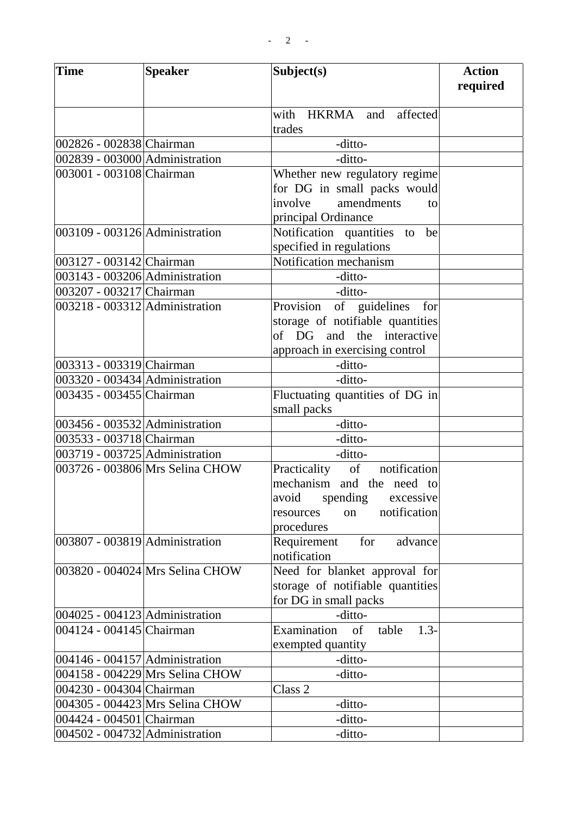| <b>Time</b>                        | <b>Speaker</b>                  | Subject(s)                            | <b>Action</b><br>required |
|------------------------------------|---------------------------------|---------------------------------------|---------------------------|
|                                    |                                 |                                       |                           |
|                                    |                                 | with HKRMA and<br>affected            |                           |
|                                    |                                 | trades                                |                           |
| 002826 - 002838 Chairman           |                                 | -ditto-                               |                           |
| 002839 - 003000 Administration     |                                 | -ditto-                               |                           |
| 003001 - 003108 Chairman           |                                 | Whether new regulatory regime         |                           |
|                                    |                                 | for DG in small packs would           |                           |
|                                    |                                 | involve<br>amendments<br>to           |                           |
|                                    |                                 | principal Ordinance                   |                           |
| 003109 - 003126 Administration     |                                 | Notification quantities to<br>be      |                           |
|                                    |                                 | specified in regulations              |                           |
| 003127 - 003142 Chairman           |                                 | Notification mechanism                |                           |
| 003143 - 003206 Administration     |                                 | -ditto-                               |                           |
| 003207 - 003217 Chairman           |                                 | -ditto-                               |                           |
| 003218 - 003312 Administration     |                                 | Provision of guidelines<br>for        |                           |
|                                    |                                 | storage of notifiable quantities      |                           |
|                                    |                                 | of DG and<br>the interactive          |                           |
|                                    |                                 | approach in exercising control        |                           |
| 003313 - 003319 Chairman           |                                 | -ditto-                               |                           |
| 003320 - 003434 Administration     |                                 | -ditto-                               |                           |
| 003435 - 003455 Chairman           |                                 | Fluctuating quantities of DG in       |                           |
|                                    |                                 | small packs                           |                           |
| 003456 - 003532 Administration     |                                 | -ditto-                               |                           |
| 003533 - 003718 Chairman           |                                 | -ditto-                               |                           |
| 003719 - 003725 Administration     |                                 | -ditto-                               |                           |
|                                    | 003726 - 003806 Mrs Selina CHOW | notification<br>of<br>Practicality    |                           |
|                                    |                                 | mechanism and the need to             |                           |
|                                    |                                 | avoid<br>spending<br>excessive        |                           |
|                                    |                                 | notification<br>on<br>resources       |                           |
|                                    |                                 | procedures                            |                           |
| 003807 - 003819 Administration     |                                 | Requirement<br>for<br>advance         |                           |
|                                    |                                 | notification                          |                           |
|                                    | 003820 - 004024 Mrs Selina CHOW | Need for blanket approval for         |                           |
|                                    |                                 | storage of notifiable quantities      |                           |
|                                    |                                 | for DG in small packs                 |                           |
| $ 004025 - 004123 $ Administration |                                 | -ditto-                               |                           |
| 004124 - 004145 Chairman           |                                 | Examination<br>$1.3 -$<br>οf<br>table |                           |
|                                    |                                 | exempted quantity                     |                           |
| 004146 - 004157 Administration     |                                 | -ditto-                               |                           |
|                                    | 004158 - 004229 Mrs Selina CHOW | -ditto-                               |                           |
| 004230 - 004304 Chairman           |                                 | Class <sub>2</sub>                    |                           |
|                                    | 004305 - 004423 Mrs Selina CHOW | -ditto-                               |                           |
| 004424 - 004501 Chairman           |                                 | -ditto-                               |                           |
| 004502 - 004732 Administration     |                                 | -ditto-                               |                           |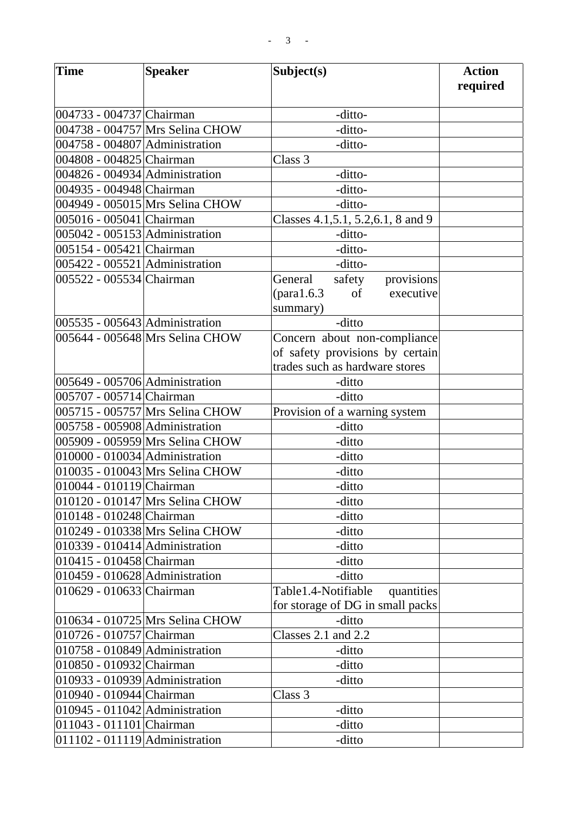| Time                               | <b>Speaker</b>                  | Subject(s)                          | <b>Action</b> |
|------------------------------------|---------------------------------|-------------------------------------|---------------|
|                                    |                                 |                                     | required      |
| 004733 - 004737 Chairman           |                                 | -ditto-                             |               |
|                                    | 004738 - 004757 Mrs Selina CHOW | -ditto-                             |               |
| 004758 - 004807 Administration     |                                 | -ditto-                             |               |
| 004808 - 004825 Chairman           |                                 | Class 3                             |               |
| 004826 - 004934 Administration     |                                 | -ditto-                             |               |
| 004935 - 004948 Chairman           |                                 | -ditto-                             |               |
|                                    | 004949 - 005015 Mrs Selina CHOW | -ditto-                             |               |
| 005016 - 005041 Chairman           |                                 | Classes 4.1, 5.1, 5.2, 6.1, 8 and 9 |               |
| 005042 - 005153 Administration     |                                 | -ditto-                             |               |
| 005154 - 005421 Chairman           |                                 | -ditto-                             |               |
| 005422 - 005521 Administration     |                                 | -ditto-                             |               |
| 005522 - 005534 Chairman           |                                 | provisions<br>General<br>safety     |               |
|                                    |                                 | executive<br>of                     |               |
|                                    |                                 | summary)                            |               |
| $ 005535 - 005643 $ Administration |                                 | -ditto                              |               |
|                                    | 005644 - 005648 Mrs Selina CHOW | Concern about non-compliance        |               |
|                                    |                                 | of safety provisions by certain     |               |
|                                    |                                 | trades such as hardware stores      |               |
| 005649 - 005706 Administration     |                                 | -ditto                              |               |
| 005707 - 005714 Chairman           |                                 | -ditto                              |               |
|                                    | 005715 - 005757 Mrs Selina CHOW | Provision of a warning system       |               |
| 005758 - 005908 Administration     |                                 | -ditto                              |               |
|                                    | 005909 - 005959 Mrs Selina CHOW | -ditto                              |               |
| 010000 - 010034 Administration     |                                 | -ditto                              |               |
|                                    | 010035 - 010043 Mrs Selina CHOW | -ditto                              |               |
| 010044 - 010119 Chairman           |                                 | -ditto                              |               |
|                                    | 010120 - 010147 Mrs Selina CHOW | -ditto                              |               |
| 010148 - 010248 Chairman           |                                 | -ditto                              |               |
|                                    | 010249 - 010338 Mrs Selina CHOW | -ditto                              |               |
| 010339 - 010414 Administration     |                                 | -ditto                              |               |
| 010415 - 010458 Chairman           |                                 | -ditto                              |               |
| $ 010459 - 010628 $ Administration |                                 | -ditto                              |               |
| 010629 - 010633 Chairman           |                                 | Table1.4-Notifiable<br>quantities   |               |
|                                    |                                 | for storage of DG in small packs    |               |
|                                    | 010634 - 010725 Mrs Selina CHOW | -ditto                              |               |
| 010726 - 010757 Chairman           |                                 | Classes $2.1$ and $2.2$             |               |
| 010758 - 010849 Administration     |                                 | -ditto                              |               |
| 010850 - 010932 Chairman           |                                 | -ditto                              |               |
| 010933 - 010939 Administration     |                                 | -ditto                              |               |
| 010940 - 010944 Chairman           |                                 | Class 3                             |               |
| 010945 - 011042 Administration     |                                 | -ditto                              |               |
| 011043 - 011101 Chairman           |                                 | -ditto                              |               |
| $011102 - 011119$ Administration   |                                 | -ditto                              |               |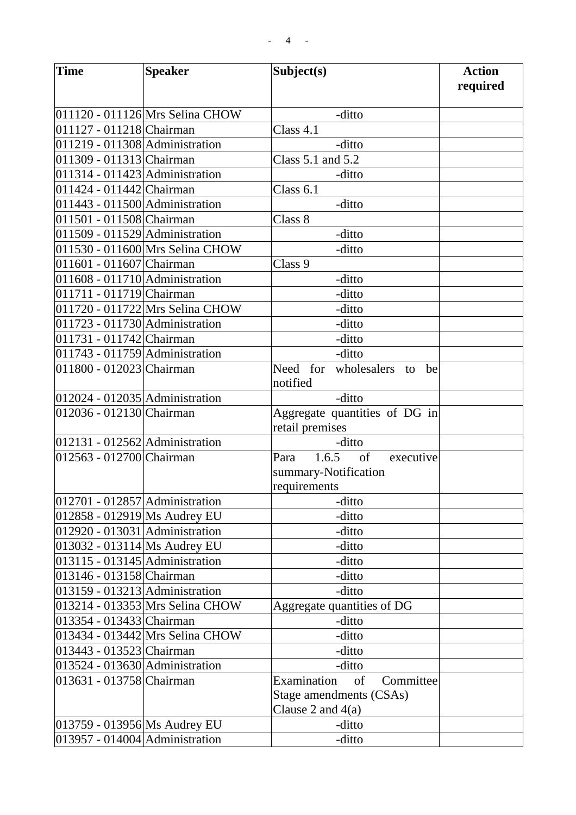| <b>Time</b>                        | <b>Speaker</b>                  | Subject(s)                          | <b>Action</b><br>required |
|------------------------------------|---------------------------------|-------------------------------------|---------------------------|
|                                    |                                 |                                     |                           |
|                                    | 011120 - 011126 Mrs Selina CHOW | -ditto                              |                           |
| 011127 - 011218 Chairman           |                                 | Class $4.1$                         |                           |
| 011219 - 011308 Administration     |                                 | -ditto                              |                           |
| 011309 - 011313 Chairman           |                                 | Class 5.1 and 5.2                   |                           |
| $011314 - 011423$ Administration   |                                 | -ditto                              |                           |
| 011424 - 011442 Chairman           |                                 | Class $6.1$                         |                           |
| 011443 - 011500 Administration     |                                 | -ditto                              |                           |
| 011501 - 011508 Chairman           |                                 | Class 8                             |                           |
| 011509 - 011529 Administration     |                                 | -ditto                              |                           |
|                                    | 011530 - 011600 Mrs Selina CHOW | -ditto                              |                           |
| 011601 - 011607 Chairman           |                                 | Class 9                             |                           |
| 011608 - 011710 Administration     |                                 | -ditto                              |                           |
| 011711 - 011719 Chairman           |                                 | -ditto                              |                           |
|                                    | 011720 - 011722 Mrs Selina CHOW | -ditto                              |                           |
| 011723 - 011730 Administration     |                                 | -ditto                              |                           |
| 011731 - 011742 Chairman           |                                 | -ditto                              |                           |
| 011743 - 011759 Administration     |                                 | -ditto                              |                           |
| 011800 - 012023 Chairman           |                                 | Need for<br>wholesalers<br>to<br>be |                           |
|                                    |                                 | notified                            |                           |
| $012024 - 012035$ Administration   |                                 | -ditto                              |                           |
| 012036 - 012130 Chairman           |                                 | Aggregate quantities of DG in       |                           |
|                                    |                                 | retail premises                     |                           |
| $ 012131 - 012562 $ Administration |                                 | -ditto                              |                           |
| 012563 - 012700 Chairman           |                                 | 1.6.5<br>executive<br>of<br>Para    |                           |
|                                    |                                 | summary-Notification                |                           |
|                                    |                                 | requirements                        |                           |
| $012701 - 012857$ Administration   |                                 | -ditto                              |                           |
| 012858 - 012919 Ms Audrey EU       |                                 | -ditto                              |                           |
| 012920 - 013031 Administration     |                                 | -ditto                              |                           |
| 013032 - 013114 Ms Audrey EU       |                                 | -ditto                              |                           |
| 013115 - 013145 Administration     |                                 | -ditto                              |                           |
| 013146 - 013158 Chairman           |                                 | -ditto                              |                           |
| 013159 - 013213 Administration     |                                 | -ditto                              |                           |
|                                    | 013214 - 013353 Mrs Selina CHOW | Aggregate quantities of DG          |                           |
| 013354 - 013433 Chairman           |                                 | -ditto                              |                           |
|                                    | 013434 - 013442 Mrs Selina CHOW | -ditto                              |                           |
| 013443 - 013523 Chairman           |                                 | -ditto                              |                           |
| 013524 - 013630 Administration     |                                 | -ditto                              |                           |
| 013631 - 013758 Chairman           |                                 | Examination<br>of<br>Committee      |                           |
|                                    |                                 | Stage amendments (CSAs)             |                           |
| 013759 - 013956 Ms Audrey EU       |                                 | Clause 2 and $4(a)$<br>-ditto       |                           |
| 013957 - 014004 Administration     |                                 | -ditto                              |                           |
|                                    |                                 |                                     |                           |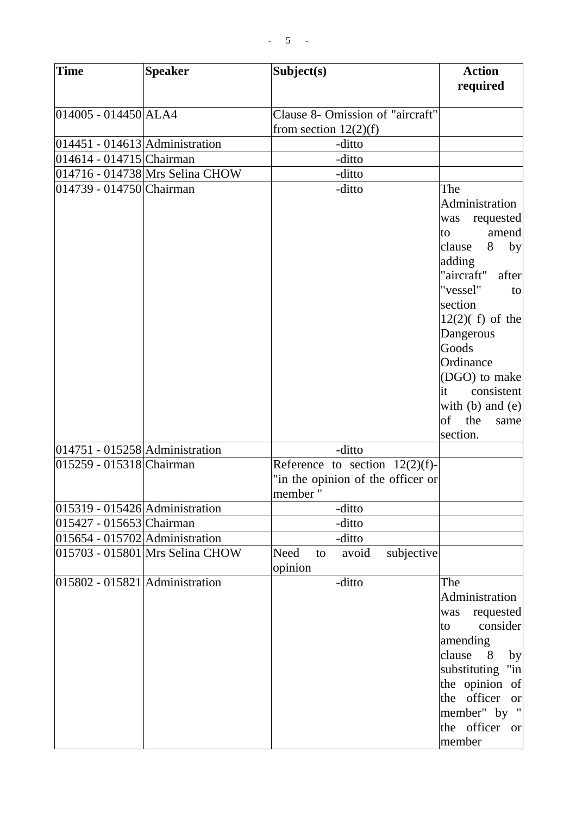| <b>Time</b>                        | <b>Speaker</b>                  | Subject(s)                                                                        | <b>Action</b><br>required                                                                                                                                                                                                                                                                       |
|------------------------------------|---------------------------------|-----------------------------------------------------------------------------------|-------------------------------------------------------------------------------------------------------------------------------------------------------------------------------------------------------------------------------------------------------------------------------------------------|
| 014005 - 014450 ALA4               |                                 | Clause 8- Omission of "aircraft"<br>from section $12(2)(f)$                       |                                                                                                                                                                                                                                                                                                 |
| $ 014451 - 014613 $ Administration |                                 | -ditto                                                                            |                                                                                                                                                                                                                                                                                                 |
| 014614 - 014715 Chairman           |                                 | -ditto                                                                            |                                                                                                                                                                                                                                                                                                 |
|                                    | 014716 - 014738 Mrs Selina CHOW | -ditto                                                                            |                                                                                                                                                                                                                                                                                                 |
| 014739 - 014750 Chairman           |                                 | -ditto                                                                            | The<br>Administration<br>was requested<br>amend<br>to<br>8<br>clause<br>by<br>adding<br>"aircraft"<br>after<br>"vessel"<br>to<br>section<br>$12(2)$ (f) of the<br>Dangerous<br>Goods<br>Ordinance<br>(DGO) to make<br>consistent<br>it<br>with $(b)$ and $(e)$<br>of<br>the<br>same<br>section. |
| $ 014751 - 015258 $ Administration |                                 | -ditto                                                                            |                                                                                                                                                                                                                                                                                                 |
| 015259 - 015318 Chairman           |                                 | Reference to section $12(2)(f)$ -<br>"in the opinion of the officer or<br>member" |                                                                                                                                                                                                                                                                                                 |
| $ 015319 - 015426 $ Administration |                                 | -ditto                                                                            |                                                                                                                                                                                                                                                                                                 |
| 015427 - 015653 Chairman           |                                 | -ditto                                                                            |                                                                                                                                                                                                                                                                                                 |
| 015654 - 015702 Administration     |                                 | -ditto                                                                            |                                                                                                                                                                                                                                                                                                 |
|                                    | 015703 - 015801 Mrs Selina CHOW | Need<br>avoid<br>subjective<br>to<br>opinion                                      |                                                                                                                                                                                                                                                                                                 |
| 015802 - 015821 Administration     |                                 | -ditto                                                                            | The<br>Administration<br>requested<br>was<br>consider<br>to<br>amending<br>clause<br>8<br>by<br>"in"<br>substituting<br>the opinion of<br>the officer<br><sub>or</sub><br>member" by "<br>the officer<br><sub>or</sub><br>member                                                                |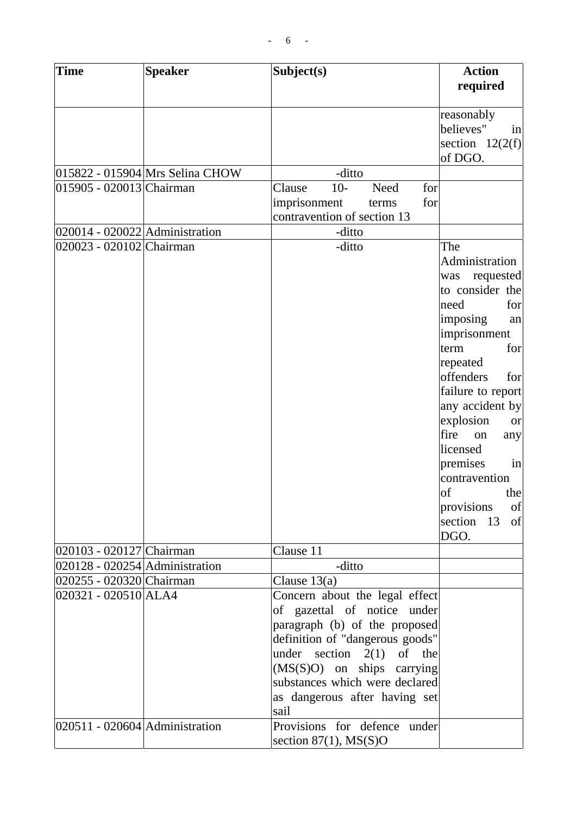| <b>Time</b>                                                | <b>Speaker</b>                  | Subject(s)                      | <b>Action</b><br>required           |
|------------------------------------------------------------|---------------------------------|---------------------------------|-------------------------------------|
|                                                            |                                 |                                 |                                     |
|                                                            |                                 |                                 | reasonably                          |
|                                                            |                                 |                                 | believes"<br>in                     |
|                                                            |                                 |                                 | section $12(2(f))$                  |
|                                                            |                                 |                                 | of DGO.                             |
|                                                            | 015822 - 015904 Mrs Selina CHOW | -ditto                          |                                     |
| 015905 - 020013 Chairman                                   |                                 | $10-$<br>Need<br>for<br>Clause  |                                     |
|                                                            |                                 | imprisonment<br>for<br>terms    |                                     |
|                                                            |                                 | contravention of section 13     |                                     |
| $020014 - 020022$ Administration                           |                                 | -ditto                          |                                     |
| 020023 - 020102 Chairman                                   |                                 | -ditto                          | The                                 |
|                                                            |                                 |                                 | Administration                      |
|                                                            |                                 |                                 | requested<br>was<br>to consider the |
|                                                            |                                 |                                 | need<br>for                         |
|                                                            |                                 |                                 | imposing<br>an                      |
|                                                            |                                 |                                 | imprisonment                        |
|                                                            |                                 |                                 | term<br>for                         |
|                                                            |                                 |                                 | repeated                            |
|                                                            |                                 |                                 | offenders<br>for                    |
|                                                            |                                 |                                 | failure to report                   |
|                                                            |                                 |                                 | any accident by                     |
|                                                            |                                 |                                 | explosion<br><b>or</b>              |
|                                                            |                                 |                                 | fire<br>on<br>any                   |
|                                                            |                                 |                                 | licensed                            |
|                                                            |                                 |                                 | premises<br>in                      |
|                                                            |                                 |                                 | contravention                       |
|                                                            |                                 |                                 | of<br>thel                          |
|                                                            |                                 |                                 | provisions<br>of                    |
|                                                            |                                 |                                 | section<br>-13<br>of                |
|                                                            |                                 | Clause 11                       | DGO.                                |
| 020103 - 020127 Chairman<br>020128 - 020254 Administration |                                 | -ditto                          |                                     |
| 020255 - 020320 Chairman                                   |                                 | Clause $13(a)$                  |                                     |
| 020321 - 020510 ALA4                                       |                                 | Concern about the legal effect  |                                     |
|                                                            |                                 | of gazettal of notice under     |                                     |
|                                                            |                                 | paragraph (b) of the proposed   |                                     |
|                                                            |                                 | definition of "dangerous goods" |                                     |
|                                                            |                                 | under section $2(1)$ of the     |                                     |
|                                                            |                                 | $(MS(S)O)$ on ships carrying    |                                     |
|                                                            |                                 | substances which were declared  |                                     |
|                                                            |                                 | as dangerous after having set   |                                     |
|                                                            |                                 | sail                            |                                     |
| $ 020511 - 020604 $ Administration                         |                                 | Provisions for defence under    |                                     |
|                                                            |                                 | section $87(1)$ , MS(S)O        |                                     |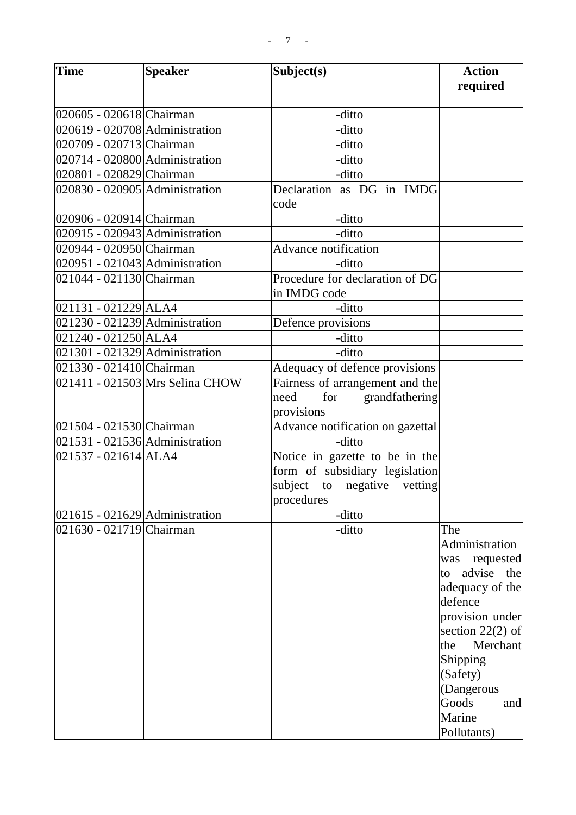| Time                           | <b>Speaker</b>                  | Subject(s)                                      | <b>Action</b><br>required |
|--------------------------------|---------------------------------|-------------------------------------------------|---------------------------|
|                                |                                 |                                                 |                           |
| 020605 - 020618 Chairman       |                                 | -ditto                                          |                           |
| 020619 - 020708 Administration |                                 | -ditto                                          |                           |
| 020709 - 020713 Chairman       |                                 | -ditto                                          |                           |
| 020714 - 020800 Administration |                                 | -ditto                                          |                           |
| 020801 - 020829 Chairman       |                                 | -ditto                                          |                           |
| 020830 - 020905 Administration |                                 | Declaration as DG in IMDG<br>code               |                           |
| 020906 - 020914 Chairman       |                                 | -ditto                                          |                           |
| 020915 - 020943 Administration |                                 | -ditto                                          |                           |
| 020944 - 020950 Chairman       |                                 | Advance notification                            |                           |
| 020951 - 021043 Administration |                                 | -ditto                                          |                           |
| 021044 - 021130 Chairman       |                                 | Procedure for declaration of DG<br>in IMDG code |                           |
| $[021131 - 021229]ALA4$        |                                 | -ditto                                          |                           |
| 021230 - 021239 Administration |                                 | Defence provisions                              |                           |
| 021240 - 021250 ALA4           |                                 | -ditto                                          |                           |
| 021301 - 021329 Administration |                                 | -ditto                                          |                           |
| 021330 - 021410 Chairman       |                                 | Adequacy of defence provisions                  |                           |
|                                | 021411 - 021503 Mrs Selina CHOW | Fairness of arrangement and the                 |                           |
|                                |                                 | for grandfathering<br>need                      |                           |
|                                |                                 | provisions                                      |                           |
| 021504 - 021530 Chairman       |                                 | Advance notification on gazettal                |                           |
| 021531 - 021536 Administration |                                 | -ditto                                          |                           |
| 021537 - 021614 ALA4           |                                 | Notice in gazette to be in the                  |                           |
|                                |                                 | form of subsidiary legislation                  |                           |
|                                |                                 | subject to negative vetting                     |                           |
|                                |                                 | procedures                                      |                           |
| 021615 - 021629 Administration |                                 | -ditto                                          |                           |
| 021630 - 021719 Chairman       |                                 | -ditto                                          | The                       |
|                                |                                 |                                                 | Administration            |
|                                |                                 |                                                 | requested<br>was          |
|                                |                                 |                                                 | advise<br>the<br>to       |
|                                |                                 |                                                 | adequacy of the           |
|                                |                                 |                                                 | defence                   |
|                                |                                 |                                                 | provision under           |
|                                |                                 |                                                 | section $22(2)$ of        |
|                                |                                 |                                                 | the<br>Merchant           |
|                                |                                 |                                                 | Shipping                  |
|                                |                                 |                                                 | (Safety)                  |
|                                |                                 |                                                 | (Dangerous                |
|                                |                                 |                                                 | Goods<br>and              |
|                                |                                 |                                                 | Marine                    |
|                                |                                 |                                                 | Pollutants)               |